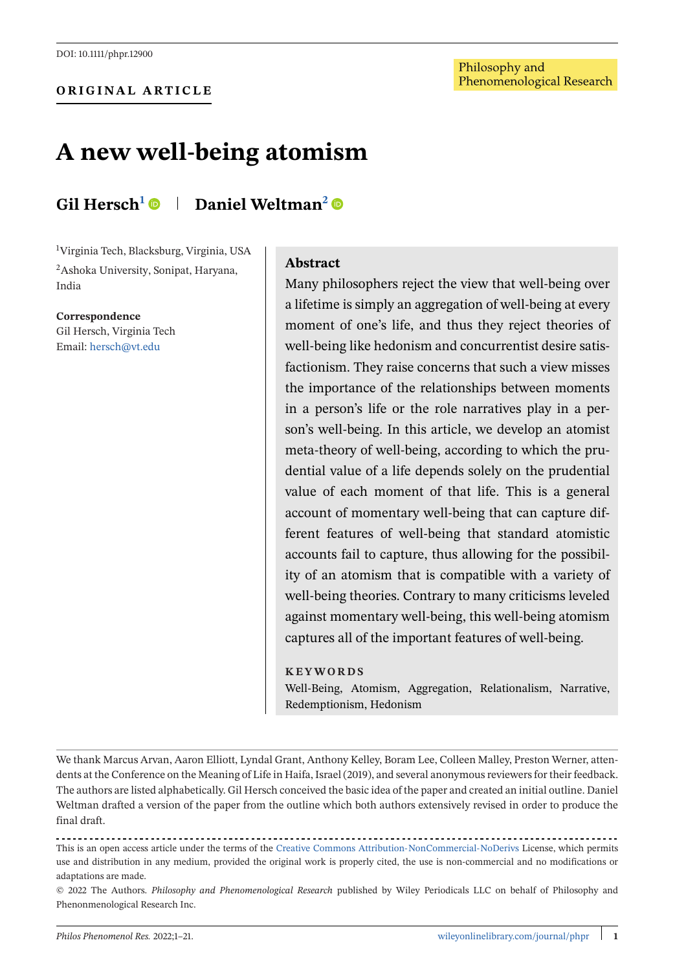# **A new well-being atomism**

# **Gil Hersch1 Daniel Weltman2**

1 Virginia Tech, Blacksburg, Virginia, USA 2Ashoka University, Sonipat, Haryana, India

**Correspondence** Gil Hersch, Virginia Tech Email: [hersch@vt.edu](mailto:hersch@vt.edu)

#### **Abstract**

Many philosophers reject the view that well-being over a lifetime is simply an aggregation of well-being at every moment of one's life, and thus they reject theories of well-being like hedonism and concurrentist desire satisfactionism. They raise concerns that such a view misses the importance of the relationships between moments in a person's life or the role narratives play in a person's well-being. In this article, we develop an atomist meta-theory of well-being, according to which the prudential value of a life depends solely on the prudential value of each moment of that life. This is a general account of momentary well-being that can capture different features of well-being that standard atomistic accounts fail to capture, thus allowing for the possibility of an atomism that is compatible with a variety of well-being theories. Contrary to many criticisms leveled against momentary well-being, this well-being atomism captures all of the important features of well-being.

#### **KEYWORDS**

Well-Being, Atomism, Aggregation, Relationalism, Narrative, Redemptionism, Hedonism

We thank Marcus Arvan, Aaron Elliott, Lyndal Grant, Anthony Kelley, Boram Lee, Colleen Malley, Preston Werner, attendents at the Conference on the Meaning of Life in Haifa, Israel (2019), and several anonymous reviewers for their feedback. The authors are listed alphabetically. Gil Hersch conceived the basic idea of the paper and created an initial outline. Daniel Weltman drafted a version of the paper from the outline which both authors extensively revised in order to produce the final draft.

This is an open access article under the terms of the [Creative Commons Attribution-NonCommercial-NoDerivs](http://creativecommons.org/licenses/by-nc-nd/4.0/) License, which permits use and distribution in any medium, provided the original work is properly cited, the use is non-commercial and no modifications or adaptations are made.

© 2022 The Authors. *Philosophy and Phenomenological Research* published by Wiley Periodicals LLC on behalf of Philosophy and Phenonmenological Research Inc.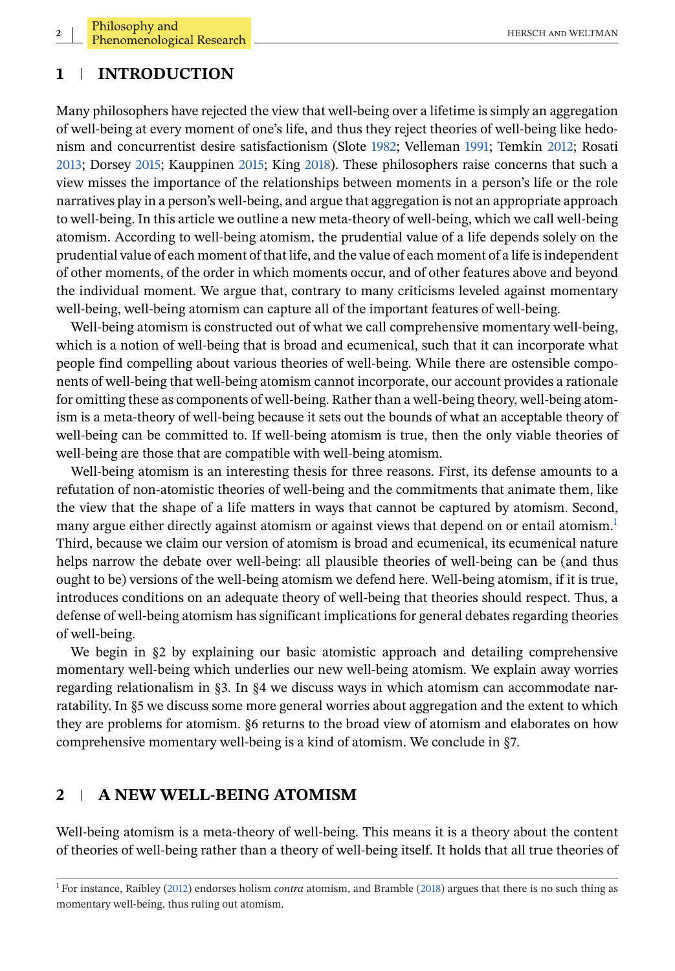# **1 INTRODUCTION**

Many philosophers have rejected the view that well-being over a lifetime is simply an aggregation of well-being at every moment of one's life, and thus they reject theories of well-being like hedonism and concurrentist desire satisfactionism (Slote [1982;](#page-20-0) Velleman [1991;](#page-20-0) Temkin [2012;](#page-20-0) Rosati [2013;](#page-20-0) Dorsey [2015;](#page-20-0) Kauppinen [2015;](#page-20-0) King [2018\)](#page-20-0). These philosophers raise concerns that such a view misses the importance of the relationships between moments in a person's life or the role narratives play in a person's well-being, and argue that aggregation is not an appropriate approach to well-being. In this article we outline a new meta-theory of well-being, which we call well-being atomism. According to well-being atomism, the prudential value of a life depends solely on the prudential value of each moment of that life, and the value of each moment of a life is independent of other moments, of the order in which moments occur, and of other features above and beyond the individual moment. We argue that, contrary to many criticisms leveled against momentary well-being, well-being atomism can capture all of the important features of well-being.

Well-being atomism is constructed out of what we call comprehensive momentary well-being, which is a notion of well-being that is broad and ecumenical, such that it can incorporate what people find compelling about various theories of well-being. While there are ostensible components of well-being that well-being atomism cannot incorporate, our account provides a rationale for omitting these as components of well-being. Rather than a well-being theory, well-being atomism is a meta-theory of well-being because it sets out the bounds of what an acceptable theory of well-being can be committed to. If well-being atomism is true, then the only viable theories of well-being are those that are compatible with well-being atomism.

Well-being atomism is an interesting thesis for three reasons. First, its defense amounts to a refutation of non-atomistic theories of well-being and the commitments that animate them, like the view that the shape of a life matters in ways that cannot be captured by atomism. Second, many argue either directly against atomism or against views that depend on or entail atomism.<sup>1</sup> Third, because we claim our version of atomism is broad and ecumenical, its ecumenical nature helps narrow the debate over well-being: all plausible theories of well-being can be (and thus ought to be) versions of the well-being atomism we defend here. Well-being atomism, if it is true, introduces conditions on an adequate theory of well-being that theories should respect. Thus, a defense of well-being atomism has significant implications for general debates regarding theories of well-being.

We begin in §2 by explaining our basic atomistic approach and detailing comprehensive momentary well-being which underlies our new well-being atomism. We explain away worries regarding relationalism in §3. In §4 we discuss ways in which atomism can accommodate narratability. In §5 we discuss some more general worries about aggregation and the extent to which they are problems for atomism. §6 returns to the broad view of atomism and elaborates on how comprehensive momentary well-being is a kind of atomism. We conclude in §7.

# **2 A NEW WELL-BEING ATOMISM**

Well-being atomism is a meta-theory of well-being. This means it is a theory about the content of theories of well-being rather than a theory of well-being itself. It holds that all true theories of

<sup>1</sup> For instance, Raibley [\(2012\)](#page-20-0) endorses holism *contra* atomism, and Bramble [\(2018\)](#page-19-0) argues that there is no such thing as momentary well-being, thus ruling out atomism.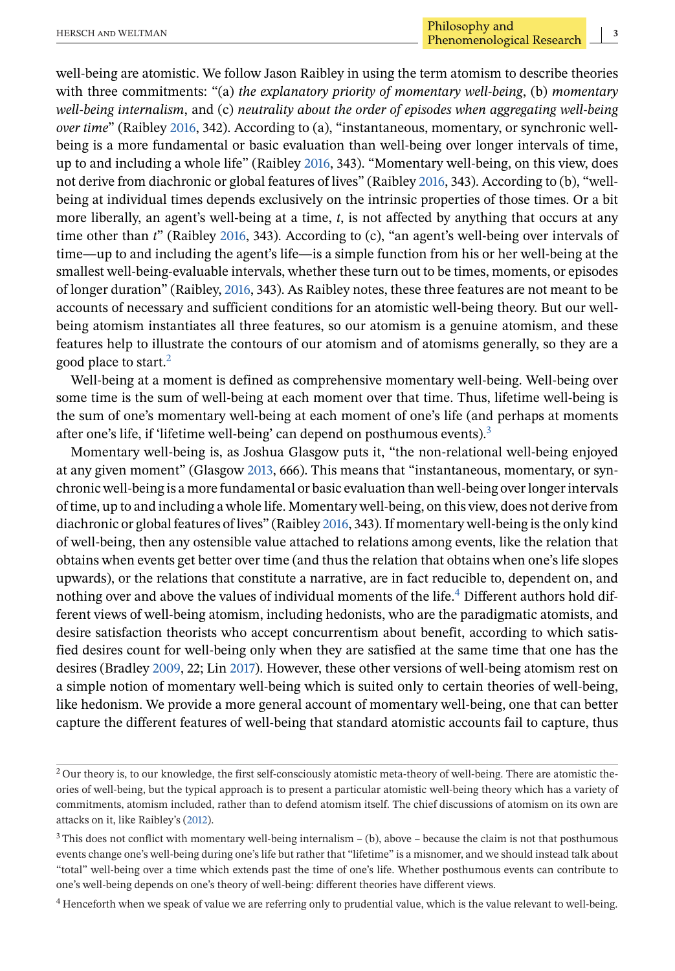well-being are atomistic. We follow Jason Raibley in using the term atomism to describe theories with three commitments: "(a) *the explanatory priority of momentary well-being*, (b) *momentary well-being internalism*, and (c) *neutrality about the order of episodes when aggregating well-being over time*" (Raibley [2016,](#page-20-0) 342). According to (a), "instantaneous, momentary, or synchronic wellbeing is a more fundamental or basic evaluation than well-being over longer intervals of time, up to and including a whole life" (Raibley [2016,](#page-20-0) 343). "Momentary well-being, on this view, does not derive from diachronic or global features of lives" (Raibley [2016,](#page-20-0) 343). According to (b), "wellbeing at individual times depends exclusively on the intrinsic properties of those times. Or a bit more liberally, an agent's well-being at a time, *t*, is not affected by anything that occurs at any time other than *t*" (Raibley [2016,](#page-20-0) 343). According to (c), "an agent's well-being over intervals of time—up to and including the agent's life—is a simple function from his or her well-being at the smallest well-being-evaluable intervals, whether these turn out to be times, moments, or episodes of longer duration" (Raibley, [2016,](#page-20-0) 343). As Raibley notes, these three features are not meant to be accounts of necessary and sufficient conditions for an atomistic well-being theory. But our wellbeing atomism instantiates all three features, so our atomism is a genuine atomism, and these features help to illustrate the contours of our atomism and of atomisms generally, so they are a good place to start. $2$ 

Well-being at a moment is defined as comprehensive momentary well-being. Well-being over some time is the sum of well-being at each moment over that time. Thus, lifetime well-being is the sum of one's momentary well-being at each moment of one's life (and perhaps at moments after one's life, if 'lifetime well-being' can depend on posthumous events).3

Momentary well-being is, as Joshua Glasgow puts it, "the non-relational well-being enjoyed at any given moment" (Glasgow [2013,](#page-20-0) 666). This means that "instantaneous, momentary, or synchronic well-being is a more fundamental or basic evaluation than well-being over longer intervals of time, up to and including a whole life. Momentary well-being, on this view, does not derive from diachronic or global features of lives" (Raibley [2016,](#page-20-0) 343). If momentary well-being is the only kind of well-being, then any ostensible value attached to relations among events, like the relation that obtains when events get better over time (and thus the relation that obtains when one's life slopes upwards), or the relations that constitute a narrative, are in fact reducible to, dependent on, and nothing over and above the values of individual moments of the life.4 Different authors hold different views of well-being atomism, including hedonists, who are the paradigmatic atomists, and desire satisfaction theorists who accept concurrentism about benefit, according to which satisfied desires count for well-being only when they are satisfied at the same time that one has the desires (Bradley [2009,](#page-19-0) 22; Lin [2017\)](#page-20-0). However, these other versions of well-being atomism rest on a simple notion of momentary well-being which is suited only to certain theories of well-being, like hedonism. We provide a more general account of momentary well-being, one that can better capture the different features of well-being that standard atomistic accounts fail to capture, thus

 $2$  Our theory is, to our knowledge, the first self-consciously atomistic meta-theory of well-being. There are atomistic theories of well-being, but the typical approach is to present a particular atomistic well-being theory which has a variety of commitments, atomism included, rather than to defend atomism itself. The chief discussions of atomism on its own are attacks on it, like Raibley's [\(2012\)](#page-20-0).

 $3$  This does not conflict with momentary well-being internalism  $-$  (b), above – because the claim is not that posthumous events change one's well-being during one's life but rather that "lifetime" is a misnomer, and we should instead talk about "total" well-being over a time which extends past the time of one's life. Whether posthumous events can contribute to one's well-being depends on one's theory of well-being: different theories have different views.

<sup>4</sup> Henceforth when we speak of value we are referring only to prudential value, which is the value relevant to well-being.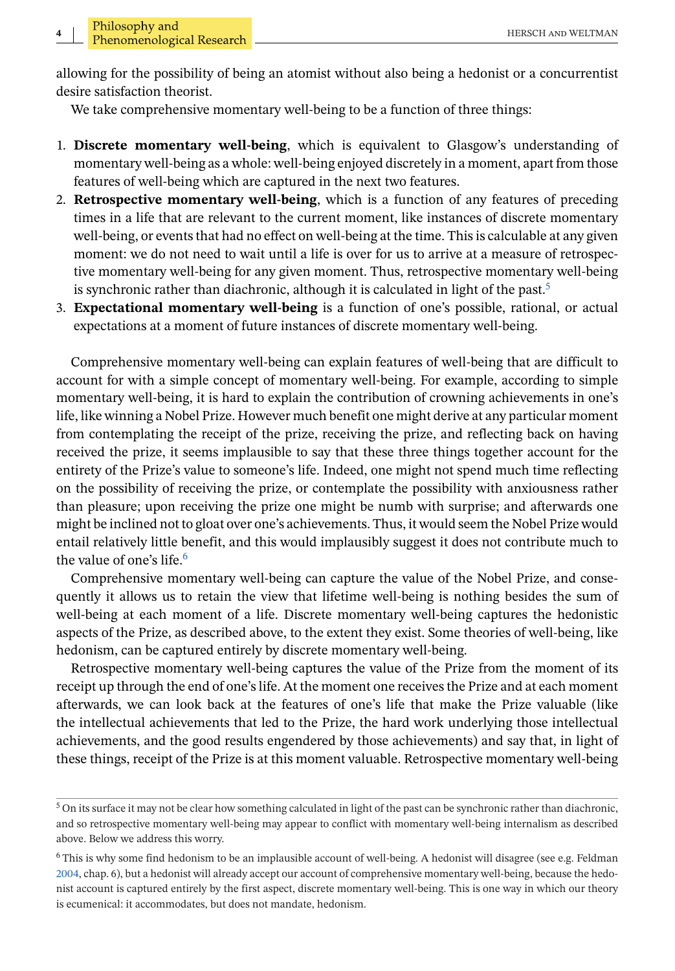allowing for the possibility of being an atomist without also being a hedonist or a concurrentist desire satisfaction theorist.

We take comprehensive momentary well-being to be a function of three things:

- 1. **Discrete momentary well-being**, which is equivalent to Glasgow's understanding of momentary well-being as a whole: well-being enjoyed discretely in a moment, apart from those features of well-being which are captured in the next two features.
- 2. **Retrospective momentary well-being**, which is a function of any features of preceding times in a life that are relevant to the current moment, like instances of discrete momentary well-being, or events that had no effect on well-being at the time. This is calculable at any given moment: we do not need to wait until a life is over for us to arrive at a measure of retrospective momentary well-being for any given moment. Thus, retrospective momentary well-being is synchronic rather than diachronic, although it is calculated in light of the past.<sup>5</sup>
- 3. **Expectational momentary well-being** is a function of one's possible, rational, or actual expectations at a moment of future instances of discrete momentary well-being.

Comprehensive momentary well-being can explain features of well-being that are difficult to account for with a simple concept of momentary well-being. For example, according to simple momentary well-being, it is hard to explain the contribution of crowning achievements in one's life, like winning a Nobel Prize. However much benefit one might derive at any particular moment from contemplating the receipt of the prize, receiving the prize, and reflecting back on having received the prize, it seems implausible to say that these three things together account for the entirety of the Prize's value to someone's life. Indeed, one might not spend much time reflecting on the possibility of receiving the prize, or contemplate the possibility with anxiousness rather than pleasure; upon receiving the prize one might be numb with surprise; and afterwards one might be inclined not to gloat over one's achievements. Thus, it would seem the Nobel Prize would entail relatively little benefit, and this would implausibly suggest it does not contribute much to the value of one's life.<sup>6</sup>

Comprehensive momentary well-being can capture the value of the Nobel Prize, and consequently it allows us to retain the view that lifetime well-being is nothing besides the sum of well-being at each moment of a life. Discrete momentary well-being captures the hedonistic aspects of the Prize, as described above, to the extent they exist. Some theories of well-being, like hedonism, can be captured entirely by discrete momentary well-being.

Retrospective momentary well-being captures the value of the Prize from the moment of its receipt up through the end of one's life. At the moment one receives the Prize and at each moment afterwards, we can look back at the features of one's life that make the Prize valuable (like the intellectual achievements that led to the Prize, the hard work underlying those intellectual achievements, and the good results engendered by those achievements) and say that, in light of these things, receipt of the Prize is at this moment valuable. Retrospective momentary well-being

 $5$  On its surface it may not be clear how something calculated in light of the past can be synchronic rather than diachronic, and so retrospective momentary well-being may appear to conflict with momentary well-being internalism as described above. Below we address this worry.

<sup>6</sup> This is why some find hedonism to be an implausible account of well-being. A hedonist will disagree (see e.g. Feldman [2004,](#page-20-0) chap. 6), but a hedonist will already accept our account of comprehensive momentary well-being, because the hedonist account is captured entirely by the first aspect, discrete momentary well-being. This is one way in which our theory is ecumenical: it accommodates, but does not mandate, hedonism.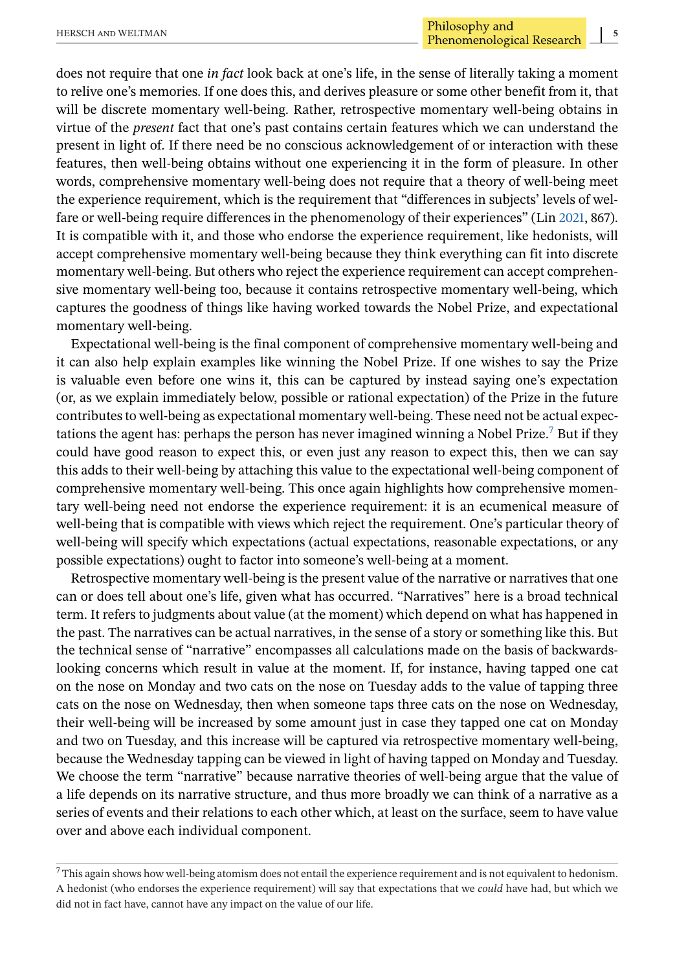does not require that one *in fact* look back at one's life, in the sense of literally taking a moment to relive one's memories. If one does this, and derives pleasure or some other benefit from it, that will be discrete momentary well-being. Rather, retrospective momentary well-being obtains in virtue of the *present* fact that one's past contains certain features which we can understand the present in light of. If there need be no conscious acknowledgement of or interaction with these features, then well-being obtains without one experiencing it in the form of pleasure. In other words, comprehensive momentary well-being does not require that a theory of well-being meet the experience requirement, which is the requirement that "differences in subjects' levels of welfare or well-being require differences in the phenomenology of their experiences" (Lin [2021,](#page-20-0) 867). It is compatible with it, and those who endorse the experience requirement, like hedonists, will accept comprehensive momentary well-being because they think everything can fit into discrete momentary well-being. But others who reject the experience requirement can accept comprehensive momentary well-being too, because it contains retrospective momentary well-being, which captures the goodness of things like having worked towards the Nobel Prize, and expectational momentary well-being.

Expectational well-being is the final component of comprehensive momentary well-being and it can also help explain examples like winning the Nobel Prize. If one wishes to say the Prize is valuable even before one wins it, this can be captured by instead saying one's expectation (or, as we explain immediately below, possible or rational expectation) of the Prize in the future contributes to well-being as expectational momentary well-being. These need not be actual expectations the agent has: perhaps the person has never imagined winning a Nobel Prize.<sup>7</sup> But if they could have good reason to expect this, or even just any reason to expect this, then we can say this adds to their well-being by attaching this value to the expectational well-being component of comprehensive momentary well-being. This once again highlights how comprehensive momentary well-being need not endorse the experience requirement: it is an ecumenical measure of well-being that is compatible with views which reject the requirement. One's particular theory of well-being will specify which expectations (actual expectations, reasonable expectations, or any possible expectations) ought to factor into someone's well-being at a moment.

Retrospective momentary well-being is the present value of the narrative or narratives that one can or does tell about one's life, given what has occurred. "Narratives" here is a broad technical term. It refers to judgments about value (at the moment) which depend on what has happened in the past. The narratives can be actual narratives, in the sense of a story or something like this. But the technical sense of "narrative" encompasses all calculations made on the basis of backwardslooking concerns which result in value at the moment. If, for instance, having tapped one cat on the nose on Monday and two cats on the nose on Tuesday adds to the value of tapping three cats on the nose on Wednesday, then when someone taps three cats on the nose on Wednesday, their well-being will be increased by some amount just in case they tapped one cat on Monday and two on Tuesday, and this increase will be captured via retrospective momentary well-being, because the Wednesday tapping can be viewed in light of having tapped on Monday and Tuesday. We choose the term "narrative" because narrative theories of well-being argue that the value of a life depends on its narrative structure, and thus more broadly we can think of a narrative as a series of events and their relations to each other which, at least on the surface, seem to have value over and above each individual component.

 $7$  This again shows how well-being atomism does not entail the experience requirement and is not equivalent to hedonism. A hedonist (who endorses the experience requirement) will say that expectations that we *could* have had, but which we did not in fact have, cannot have any impact on the value of our life.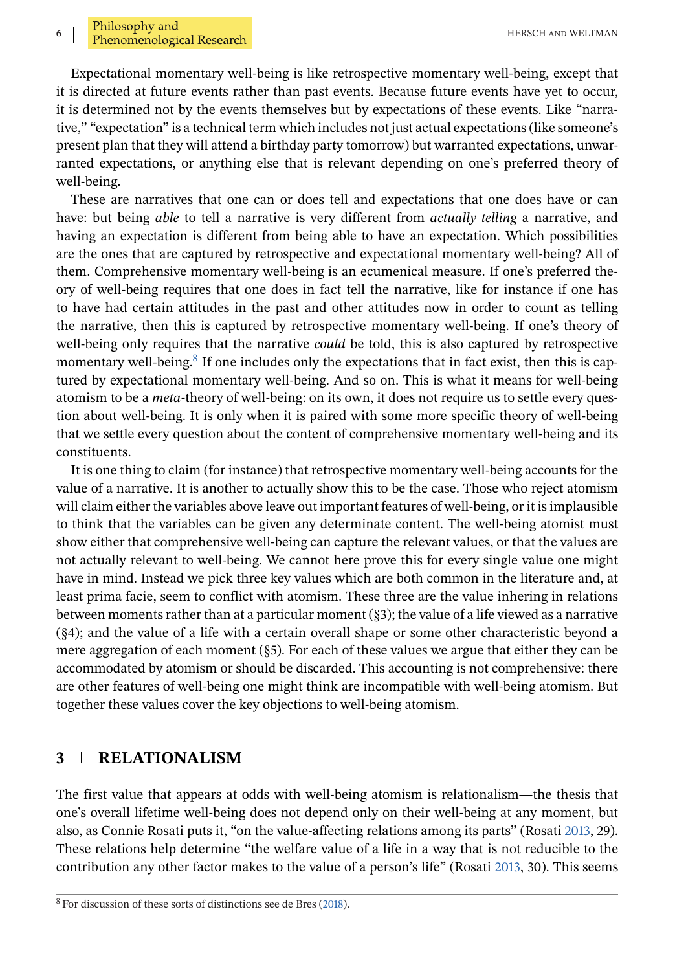Expectational momentary well-being is like retrospective momentary well-being, except that it is directed at future events rather than past events. Because future events have yet to occur, it is determined not by the events themselves but by expectations of these events. Like "narrative," "expectation" is a technical term which includes not just actual expectations (like someone's present plan that they will attend a birthday party tomorrow) but warranted expectations, unwarranted expectations, or anything else that is relevant depending on one's preferred theory of well-being.

These are narratives that one can or does tell and expectations that one does have or can have: but being *able* to tell a narrative is very different from *actually telling* a narrative, and having an expectation is different from being able to have an expectation. Which possibilities are the ones that are captured by retrospective and expectational momentary well-being? All of them. Comprehensive momentary well-being is an ecumenical measure. If one's preferred theory of well-being requires that one does in fact tell the narrative, like for instance if one has to have had certain attitudes in the past and other attitudes now in order to count as telling the narrative, then this is captured by retrospective momentary well-being. If one's theory of well-being only requires that the narrative *could* be told, this is also captured by retrospective momentary well-being.<sup>8</sup> If one includes only the expectations that in fact exist, then this is captured by expectational momentary well-being. And so on. This is what it means for well-being atomism to be a *meta-*theory of well-being: on its own, it does not require us to settle every question about well-being. It is only when it is paired with some more specific theory of well-being that we settle every question about the content of comprehensive momentary well-being and its constituents.

It is one thing to claim (for instance) that retrospective momentary well-being accounts for the value of a narrative. It is another to actually show this to be the case. Those who reject atomism will claim either the variables above leave out important features of well-being, or it is implausible to think that the variables can be given any determinate content. The well-being atomist must show either that comprehensive well-being can capture the relevant values, or that the values are not actually relevant to well-being. We cannot here prove this for every single value one might have in mind. Instead we pick three key values which are both common in the literature and, at least prima facie, seem to conflict with atomism. These three are the value inhering in relations between moments rather than at a particular moment (§3); the value of a life viewed as a narrative (§4); and the value of a life with a certain overall shape or some other characteristic beyond a mere aggregation of each moment (§5). For each of these values we argue that either they can be accommodated by atomism or should be discarded. This accounting is not comprehensive: there are other features of well-being one might think are incompatible with well-being atomism. But together these values cover the key objections to well-being atomism.

# **3 RELATIONALISM**

The first value that appears at odds with well-being atomism is relationalism—the thesis that one's overall lifetime well-being does not depend only on their well-being at any moment, but also, as Connie Rosati puts it, "on the value-affecting relations among its parts" (Rosati [2013,](#page-20-0) 29). These relations help determine "the welfare value of a life in a way that is not reducible to the contribution any other factor makes to the value of a person's life" (Rosati [2013,](#page-20-0) 30). This seems

<sup>8</sup> For discussion of these sorts of distinctions see de Bres [\(2018\)](#page-20-0).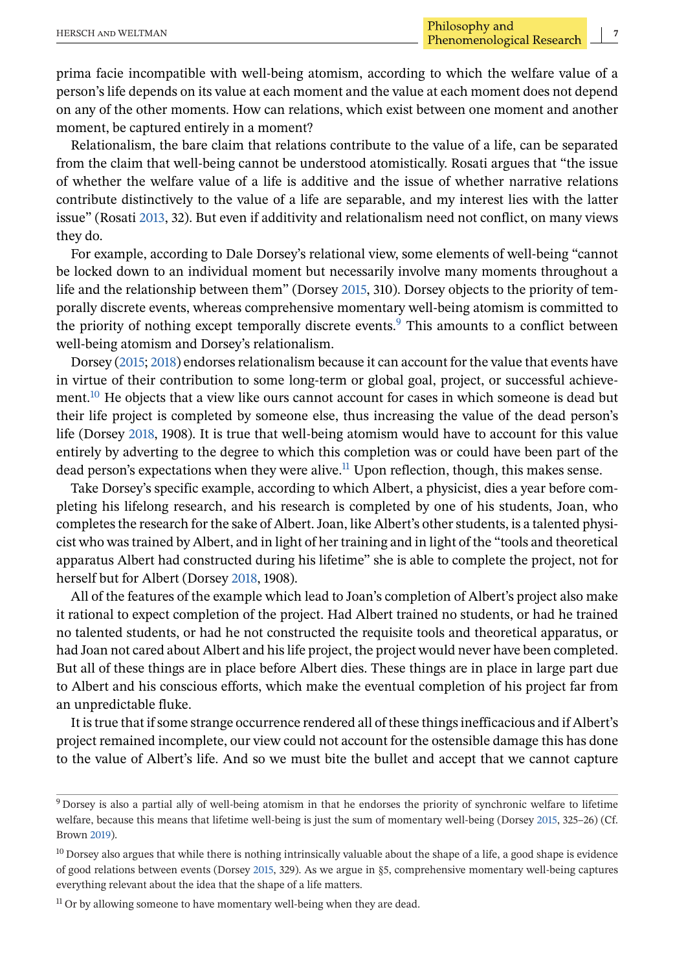prima facie incompatible with well-being atomism, according to which the welfare value of a person's life depends on its value at each moment and the value at each moment does not depend on any of the other moments. How can relations, which exist between one moment and another moment, be captured entirely in a moment?

Relationalism, the bare claim that relations contribute to the value of a life, can be separated from the claim that well-being cannot be understood atomistically. Rosati argues that "the issue of whether the welfare value of a life is additive and the issue of whether narrative relations contribute distinctively to the value of a life are separable, and my interest lies with the latter issue" (Rosati [2013,](#page-20-0) 32). But even if additivity and relationalism need not conflict, on many views they do.

For example, according to Dale Dorsey's relational view, some elements of well-being "cannot be locked down to an individual moment but necessarily involve many moments throughout a life and the relationship between them" (Dorsey [2015,](#page-20-0) 310). Dorsey objects to the priority of temporally discrete events, whereas comprehensive momentary well-being atomism is committed to the priority of nothing except temporally discrete events.<sup>9</sup> This amounts to a conflict between well-being atomism and Dorsey's relationalism.

Dorsey [\(2015;](#page-20-0) [2018\)](#page-20-0) endorses relationalism because it can account for the value that events have in virtue of their contribution to some long-term or global goal, project, or successful achievement.<sup>10</sup> He objects that a view like ours cannot account for cases in which someone is dead but their life project is completed by someone else, thus increasing the value of the dead person's life (Dorsey [2018,](#page-20-0) 1908). It is true that well-being atomism would have to account for this value entirely by adverting to the degree to which this completion was or could have been part of the dead person's expectations when they were alive.<sup>11</sup> Upon reflection, though, this makes sense.

Take Dorsey's specific example, according to which Albert, a physicist, dies a year before completing his lifelong research, and his research is completed by one of his students, Joan, who completes the research for the sake of Albert. Joan, like Albert's other students, is a talented physicist who was trained by Albert, and in light of her training and in light of the "tools and theoretical apparatus Albert had constructed during his lifetime" she is able to complete the project, not for herself but for Albert (Dorsey [2018,](#page-20-0) 1908).

All of the features of the example which lead to Joan's completion of Albert's project also make it rational to expect completion of the project. Had Albert trained no students, or had he trained no talented students, or had he not constructed the requisite tools and theoretical apparatus, or had Joan not cared about Albert and his life project, the project would never have been completed. But all of these things are in place before Albert dies. These things are in place in large part due to Albert and his conscious efforts, which make the eventual completion of his project far from an unpredictable fluke.

It is true that if some strange occurrence rendered all of these things inefficacious and if Albert's project remained incomplete, our view could not account for the ostensible damage this has done to the value of Albert's life. And so we must bite the bullet and accept that we cannot capture

<sup>9</sup> Dorsey is also a partial ally of well-being atomism in that he endorses the priority of synchronic welfare to lifetime welfare, because this means that lifetime well-being is just the sum of momentary well-being (Dorsey [2015,](#page-20-0) 325–26) (Cf. Brown [2019\)](#page-19-0).

 $10$  Dorsey also argues that while there is nothing intrinsically valuable about the shape of a life, a good shape is evidence of good relations between events (Dorsey [2015,](#page-20-0) 329). As we argue in §5, comprehensive momentary well-being captures everything relevant about the idea that the shape of a life matters.

 $11$  Or by allowing someone to have momentary well-being when they are dead.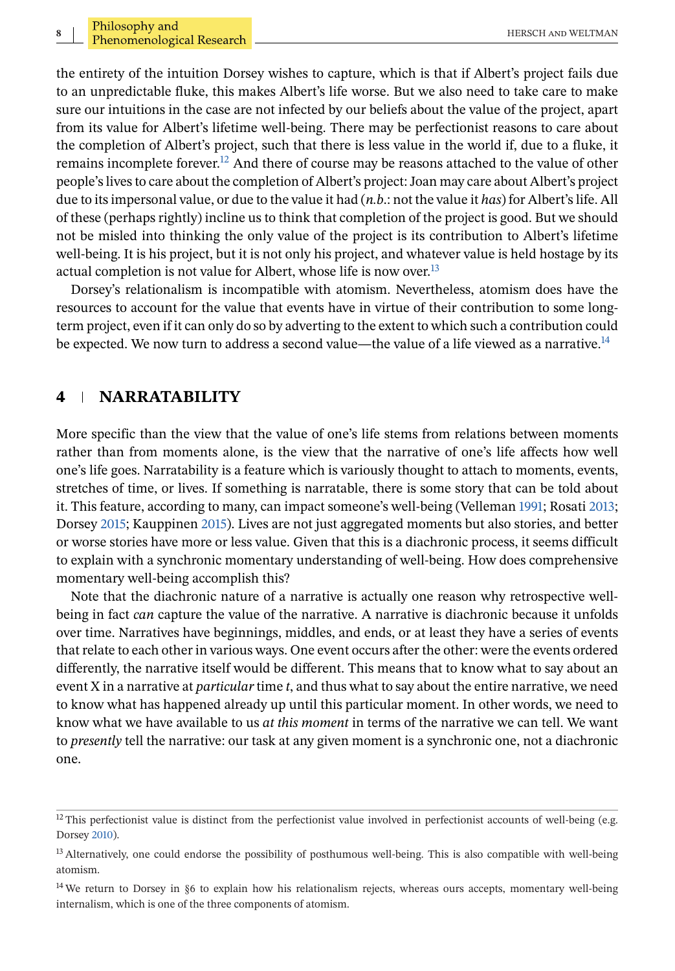the entirety of the intuition Dorsey wishes to capture, which is that if Albert's project fails due to an unpredictable fluke, this makes Albert's life worse. But we also need to take care to make sure our intuitions in the case are not infected by our beliefs about the value of the project, apart from its value for Albert's lifetime well-being. There may be perfectionist reasons to care about the completion of Albert's project, such that there is less value in the world if, due to a fluke, it remains incomplete forever.<sup>12</sup> And there of course may be reasons attached to the value of other people's lives to care about the completion of Albert's project: Joan may care about Albert's project due to its impersonal value, or due to the value it had (*n.b*.: not the value it *has*) for Albert's life. All of these (perhaps rightly) incline us to think that completion of the project is good. But we should not be misled into thinking the only value of the project is its contribution to Albert's lifetime well-being. It is his project, but it is not only his project, and whatever value is held hostage by its actual completion is not value for Albert, whose life is now over.<sup>13</sup>

Dorsey's relationalism is incompatible with atomism. Nevertheless, atomism does have the resources to account for the value that events have in virtue of their contribution to some longterm project, even if it can only do so by adverting to the extent to which such a contribution could be expected. We now turn to address a second value—the value of a life viewed as a narrative.<sup>14</sup>

#### **4 NARRATABILITY**

More specific than the view that the value of one's life stems from relations between moments rather than from moments alone, is the view that the narrative of one's life affects how well one's life goes. Narratability is a feature which is variously thought to attach to moments, events, stretches of time, or lives. If something is narratable, there is some story that can be told about it. This feature, according to many, can impact someone's well-being (Velleman [1991;](#page-20-0) Rosati [2013;](#page-20-0) Dorsey [2015;](#page-20-0) Kauppinen [2015\)](#page-20-0). Lives are not just aggregated moments but also stories, and better or worse stories have more or less value. Given that this is a diachronic process, it seems difficult to explain with a synchronic momentary understanding of well-being. How does comprehensive momentary well-being accomplish this?

Note that the diachronic nature of a narrative is actually one reason why retrospective wellbeing in fact *can* capture the value of the narrative. A narrative is diachronic because it unfolds over time. Narratives have beginnings, middles, and ends, or at least they have a series of events that relate to each other in various ways. One event occurs after the other: were the events ordered differently, the narrative itself would be different. This means that to know what to say about an event X in a narrative at *particular* time *t*, and thus what to say about the entire narrative, we need to know what has happened already up until this particular moment. In other words, we need to know what we have available to us *at this moment* in terms of the narrative we can tell. We want to *presently* tell the narrative: our task at any given moment is a synchronic one, not a diachronic one.

 $12$  This perfectionist value is distinct from the perfectionist value involved in perfectionist accounts of well-being (e.g. Dorsey [2010\)](#page-20-0).

<sup>&</sup>lt;sup>13</sup> Alternatively, one could endorse the possibility of posthumous well-being. This is also compatible with well-being atomism.

<sup>&</sup>lt;sup>14</sup> We return to Dorsey in §6 to explain how his relationalism rejects, whereas ours accepts, momentary well-being internalism, which is one of the three components of atomism.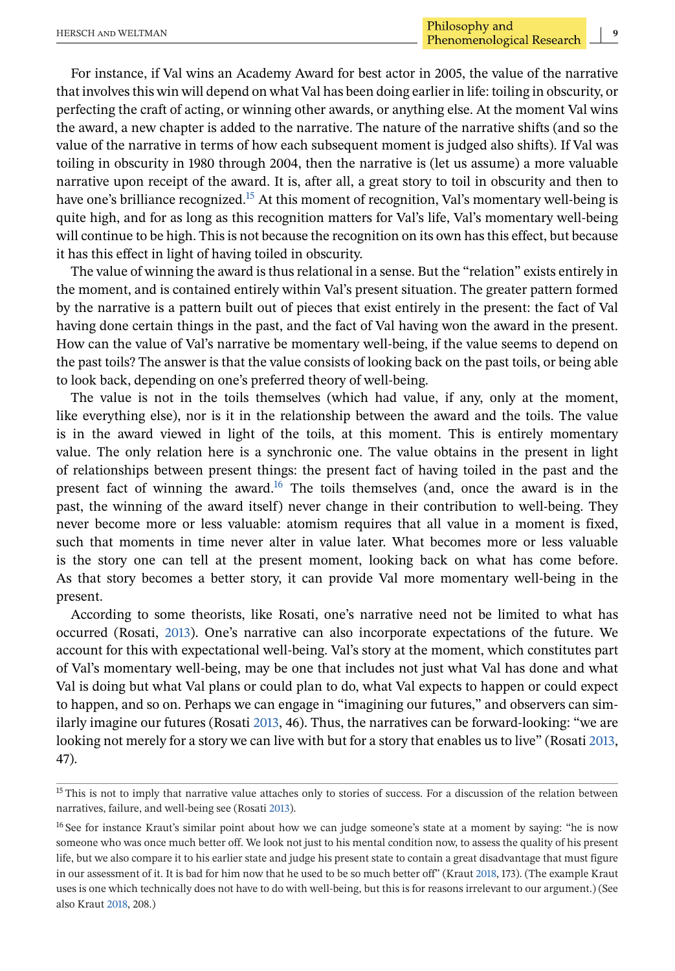For instance, if Val wins an Academy Award for best actor in 2005, the value of the narrative that involves this win will depend on what Val has been doing earlier in life: toiling in obscurity, or perfecting the craft of acting, or winning other awards, or anything else. At the moment Val wins the award, a new chapter is added to the narrative. The nature of the narrative shifts (and so the value of the narrative in terms of how each subsequent moment is judged also shifts). If Val was toiling in obscurity in 1980 through 2004, then the narrative is (let us assume) a more valuable narrative upon receipt of the award. It is, after all, a great story to toil in obscurity and then to have one's brilliance recognized.<sup>15</sup> At this moment of recognition, Val's momentary well-being is quite high, and for as long as this recognition matters for Val's life, Val's momentary well-being will continue to be high. This is not because the recognition on its own has this effect, but because it has this effect in light of having toiled in obscurity.

The value of winning the award is thus relational in a sense. But the "relation" exists entirely in the moment, and is contained entirely within Val's present situation. The greater pattern formed by the narrative is a pattern built out of pieces that exist entirely in the present: the fact of Val having done certain things in the past, and the fact of Val having won the award in the present. How can the value of Val's narrative be momentary well-being, if the value seems to depend on the past toils? The answer is that the value consists of looking back on the past toils, or being able to look back, depending on one's preferred theory of well-being.

The value is not in the toils themselves (which had value, if any, only at the moment, like everything else), nor is it in the relationship between the award and the toils. The value is in the award viewed in light of the toils, at this moment. This is entirely momentary value. The only relation here is a synchronic one. The value obtains in the present in light of relationships between present things: the present fact of having toiled in the past and the present fact of winning the award.<sup>16</sup> The toils themselves (and, once the award is in the past, the winning of the award itself) never change in their contribution to well-being. They never become more or less valuable: atomism requires that all value in a moment is fixed, such that moments in time never alter in value later. What becomes more or less valuable is the story one can tell at the present moment, looking back on what has come before. As that story becomes a better story, it can provide Val more momentary well-being in the present.

According to some theorists, like Rosati, one's narrative need not be limited to what has occurred (Rosati, [2013\)](#page-20-0). One's narrative can also incorporate expectations of the future. We account for this with expectational well-being. Val's story at the moment, which constitutes part of Val's momentary well-being, may be one that includes not just what Val has done and what Val is doing but what Val plans or could plan to do, what Val expects to happen or could expect to happen, and so on. Perhaps we can engage in "imagining our futures," and observers can similarly imagine our futures (Rosati [2013,](#page-20-0) 46). Thus, the narratives can be forward-looking: "we are looking not merely for a story we can live with but for a story that enables us to live" (Rosati [2013,](#page-20-0) 47).

<sup>&</sup>lt;sup>15</sup> This is not to imply that narrative value attaches only to stories of success. For a discussion of the relation between narratives, failure, and well-being see (Rosati [2013\)](#page-20-0).

<sup>&</sup>lt;sup>16</sup> See for instance Kraut's similar point about how we can judge someone's state at a moment by saying: "he is now someone who was once much better off. We look not just to his mental condition now, to assess the quality of his present life, but we also compare it to his earlier state and judge his present state to contain a great disadvantage that must figure in our assessment of it. It is bad for him now that he used to be so much better off" (Kraut [2018,](#page-20-0) 173). (The example Kraut uses is one which technically does not have to do with well-being, but this is for reasons irrelevant to our argument.) (See also Kraut [2018,](#page-20-0) 208.)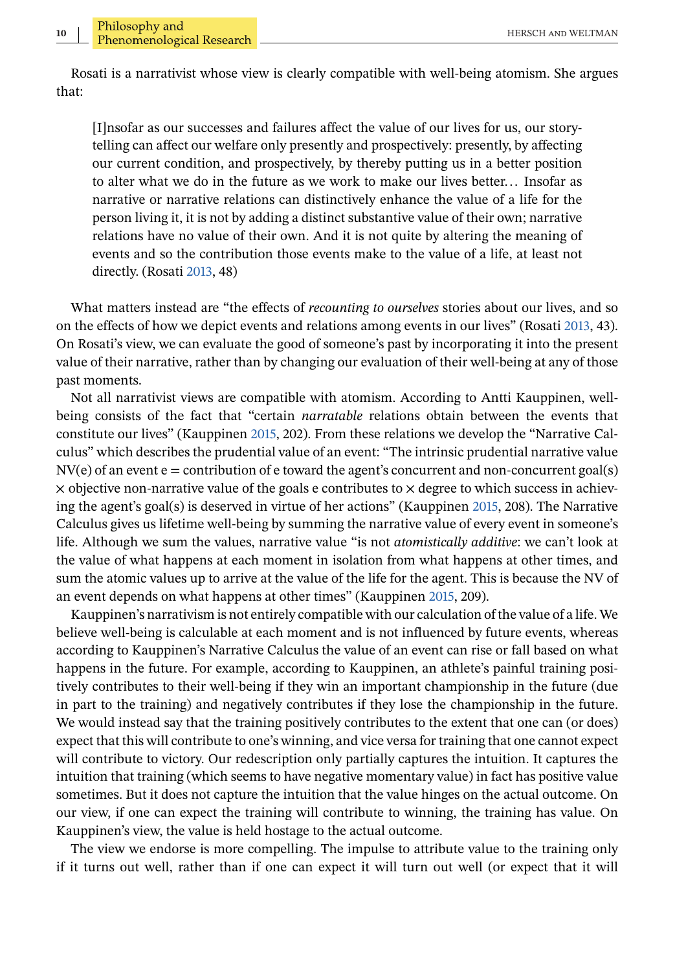Rosati is a narrativist whose view is clearly compatible with well-being atomism. She argues that:

[I]nsofar as our successes and failures affect the value of our lives for us, our storytelling can affect our welfare only presently and prospectively: presently, by affecting our current condition, and prospectively, by thereby putting us in a better position to alter what we do in the future as we work to make our lives better... Insofar as narrative or narrative relations can distinctively enhance the value of a life for the person living it, it is not by adding a distinct substantive value of their own; narrative relations have no value of their own. And it is not quite by altering the meaning of events and so the contribution those events make to the value of a life, at least not directly. (Rosati [2013,](#page-20-0) 48)

What matters instead are "the effects of *recounting to ourselves* stories about our lives, and so on the effects of how we depict events and relations among events in our lives" (Rosati [2013,](#page-20-0) 43). On Rosati's view, we can evaluate the good of someone's past by incorporating it into the present value of their narrative, rather than by changing our evaluation of their well-being at any of those past moments.

Not all narrativist views are compatible with atomism. According to Antti Kauppinen, wellbeing consists of the fact that "certain *narratable* relations obtain between the events that constitute our lives" (Kauppinen [2015,](#page-20-0) 202). From these relations we develop the "Narrative Calculus" which describes the prudential value of an event: "The intrinsic prudential narrative value  $\text{NV}(e)$  of an event  $e =$  contribution of e toward the agent's concurrent and non-concurrent goal(s)  $\times$  objective non-narrative value of the goals e contributes to  $\times$  degree to which success in achieving the agent's goal(s) is deserved in virtue of her actions" (Kauppinen [2015,](#page-20-0) 208). The Narrative Calculus gives us lifetime well-being by summing the narrative value of every event in someone's life. Although we sum the values, narrative value "is not *atomistically additive*: we can't look at the value of what happens at each moment in isolation from what happens at other times, and sum the atomic values up to arrive at the value of the life for the agent. This is because the NV of an event depends on what happens at other times" (Kauppinen [2015,](#page-20-0) 209).

Kauppinen's narrativism is not entirely compatible with our calculation of the value of a life. We believe well-being is calculable at each moment and is not influenced by future events, whereas according to Kauppinen's Narrative Calculus the value of an event can rise or fall based on what happens in the future. For example, according to Kauppinen, an athlete's painful training positively contributes to their well-being if they win an important championship in the future (due in part to the training) and negatively contributes if they lose the championship in the future. We would instead say that the training positively contributes to the extent that one can (or does) expect that this will contribute to one's winning, and vice versa for training that one cannot expect will contribute to victory. Our redescription only partially captures the intuition. It captures the intuition that training (which seems to have negative momentary value) in fact has positive value sometimes. But it does not capture the intuition that the value hinges on the actual outcome. On our view, if one can expect the training will contribute to winning, the training has value. On Kauppinen's view, the value is held hostage to the actual outcome.

The view we endorse is more compelling. The impulse to attribute value to the training only if it turns out well, rather than if one can expect it will turn out well (or expect that it will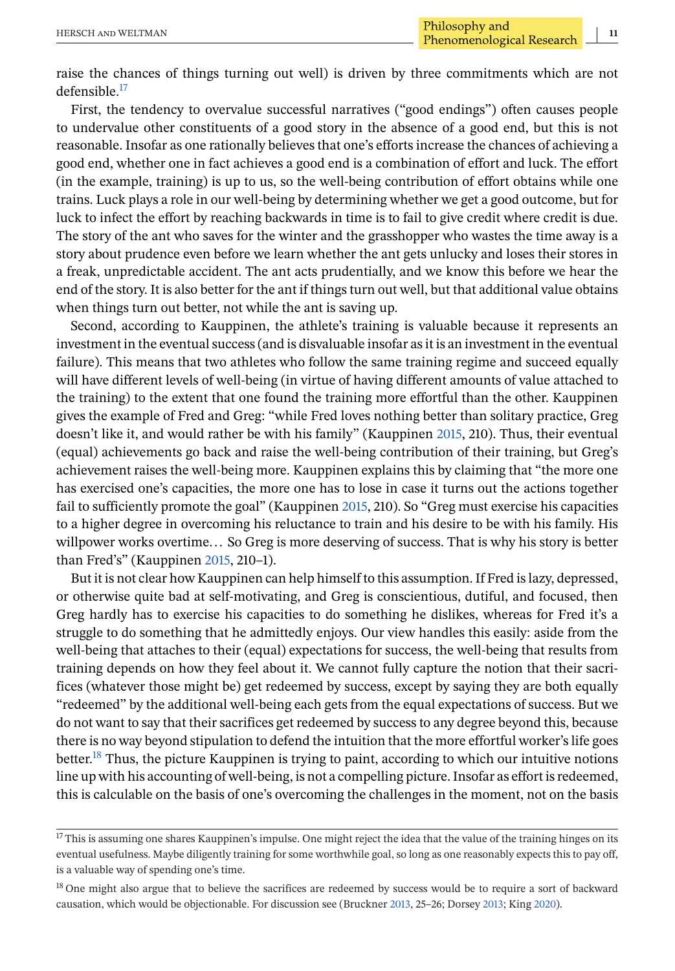First, the tendency to overvalue successful narratives ("good endings") often causes people to undervalue other constituents of a good story in the absence of a good end, but this is not reasonable. Insofar as one rationally believes that one's efforts increase the chances of achieving a good end, whether one in fact achieves a good end is a combination of effort and luck. The effort (in the example, training) is up to us, so the well-being contribution of effort obtains while one trains. Luck plays a role in our well-being by determining whether we get a good outcome, but for luck to infect the effort by reaching backwards in time is to fail to give credit where credit is due. The story of the ant who saves for the winter and the grasshopper who wastes the time away is a story about prudence even before we learn whether the ant gets unlucky and loses their stores in a freak, unpredictable accident. The ant acts prudentially, and we know this before we hear the end of the story. It is also better for the ant if things turn out well, but that additional value obtains when things turn out better, not while the ant is saving up.

Second, according to Kauppinen, the athlete's training is valuable because it represents an investment in the eventual success (and is disvaluable insofar as it is an investment in the eventual failure). This means that two athletes who follow the same training regime and succeed equally will have different levels of well-being (in virtue of having different amounts of value attached to the training) to the extent that one found the training more effortful than the other. Kauppinen gives the example of Fred and Greg: "while Fred loves nothing better than solitary practice, Greg doesn't like it, and would rather be with his family" (Kauppinen [2015,](#page-20-0) 210). Thus, their eventual (equal) achievements go back and raise the well-being contribution of their training, but Greg's achievement raises the well-being more. Kauppinen explains this by claiming that "the more one has exercised one's capacities, the more one has to lose in case it turns out the actions together fail to sufficiently promote the goal" (Kauppinen [2015,](#page-20-0) 210). So "Greg must exercise his capacities to a higher degree in overcoming his reluctance to train and his desire to be with his family. His willpower works overtime... So Greg is more deserving of success. That is why his story is better than Fred's" (Kauppinen [2015,](#page-20-0) 210–1).

But it is not clear how Kauppinen can help himself to this assumption. If Fred is lazy, depressed, or otherwise quite bad at self-motivating, and Greg is conscientious, dutiful, and focused, then Greg hardly has to exercise his capacities to do something he dislikes, whereas for Fred it's a struggle to do something that he admittedly enjoys. Our view handles this easily: aside from the well-being that attaches to their (equal) expectations for success, the well-being that results from training depends on how they feel about it. We cannot fully capture the notion that their sacrifices (whatever those might be) get redeemed by success, except by saying they are both equally "redeemed" by the additional well-being each gets from the equal expectations of success. But we do not want to say that their sacrifices get redeemed by success to any degree beyond this, because there is no way beyond stipulation to defend the intuition that the more effortful worker's life goes better.<sup>18</sup> Thus, the picture Kauppinen is trying to paint, according to which our intuitive notions line up with his accounting of well-being, is not a compelling picture. Insofar as effort is redeemed, this is calculable on the basis of one's overcoming the challenges in the moment, not on the basis

<sup>&</sup>lt;sup>17</sup> This is assuming one shares Kauppinen's impulse. One might reject the idea that the value of the training hinges on its eventual usefulness. Maybe diligently training for some worthwhile goal, so long as one reasonably expects this to pay off, is a valuable way of spending one's time.

<sup>&</sup>lt;sup>18</sup> One might also argue that to believe the sacrifices are redeemed by success would be to require a sort of backward causation, which would be objectionable. For discussion see (Bruckner [2013,](#page-19-0) 25–26; Dorsey [2013;](#page-20-0) King [2020\)](#page-20-0).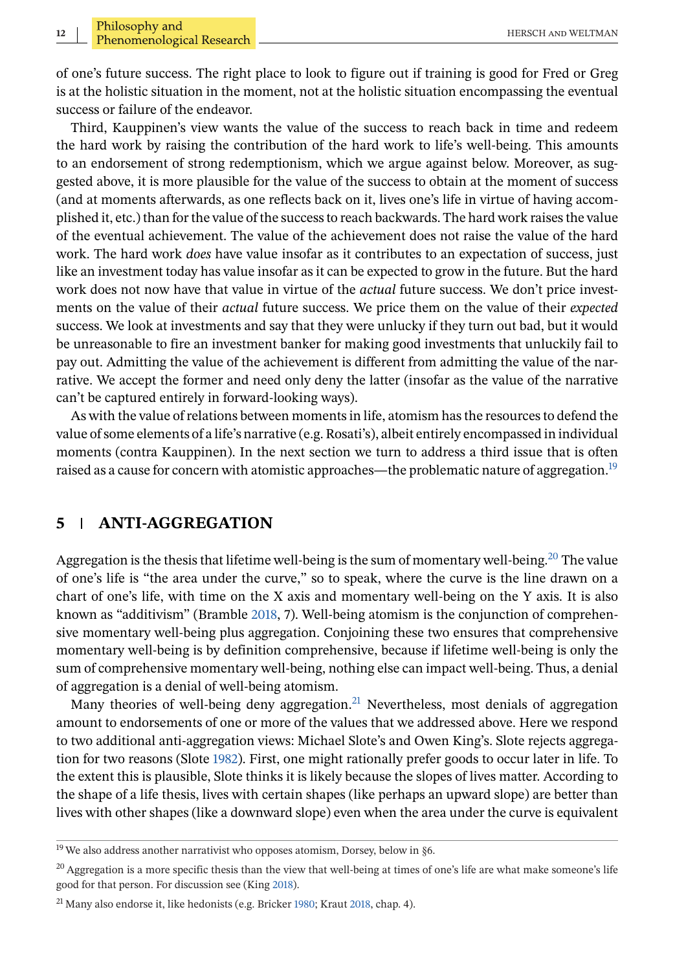of one's future success. The right place to look to figure out if training is good for Fred or Greg is at the holistic situation in the moment, not at the holistic situation encompassing the eventual success or failure of the endeavor.

Third, Kauppinen's view wants the value of the success to reach back in time and redeem the hard work by raising the contribution of the hard work to life's well-being. This amounts to an endorsement of strong redemptionism, which we argue against below. Moreover, as suggested above, it is more plausible for the value of the success to obtain at the moment of success (and at moments afterwards, as one reflects back on it, lives one's life in virtue of having accomplished it, etc.) than for the value of the success to reach backwards. The hard work raises the value of the eventual achievement. The value of the achievement does not raise the value of the hard work. The hard work *does* have value insofar as it contributes to an expectation of success, just like an investment today has value insofar as it can be expected to grow in the future. But the hard work does not now have that value in virtue of the *actual* future success. We don't price investments on the value of their *actual* future success. We price them on the value of their *expected* success. We look at investments and say that they were unlucky if they turn out bad, but it would be unreasonable to fire an investment banker for making good investments that unluckily fail to pay out. Admitting the value of the achievement is different from admitting the value of the narrative. We accept the former and need only deny the latter (insofar as the value of the narrative can't be captured entirely in forward-looking ways).

As with the value of relations between moments in life, atomism has the resources to defend the value of some elements of a life's narrative (e.g. Rosati's), albeit entirely encompassed in individual moments (contra Kauppinen). In the next section we turn to address a third issue that is often raised as a cause for concern with atomistic approaches—the problematic nature of aggregation.<sup>19</sup>

### **5 ANTI-AGGREGATION**

Aggregation is the thesis that lifetime well-being is the sum of momentary well-being.<sup>20</sup> The value of one's life is "the area under the curve," so to speak, where the curve is the line drawn on a chart of one's life, with time on the X axis and momentary well-being on the Y axis. It is also known as "additivism" (Bramble [2018,](#page-19-0) 7). Well-being atomism is the conjunction of comprehensive momentary well-being plus aggregation. Conjoining these two ensures that comprehensive momentary well-being is by definition comprehensive, because if lifetime well-being is only the sum of comprehensive momentary well-being, nothing else can impact well-being. Thus, a denial of aggregation is a denial of well-being atomism.

Many theories of well-being deny aggregation.<sup>21</sup> Nevertheless, most denials of aggregation amount to endorsements of one or more of the values that we addressed above. Here we respond to two additional anti-aggregation views: Michael Slote's and Owen King's. Slote rejects aggregation for two reasons (Slote [1982\)](#page-20-0). First, one might rationally prefer goods to occur later in life. To the extent this is plausible, Slote thinks it is likely because the slopes of lives matter. According to the shape of a life thesis, lives with certain shapes (like perhaps an upward slope) are better than lives with other shapes (like a downward slope) even when the area under the curve is equivalent

<sup>&</sup>lt;sup>19</sup> We also address another narrativist who opposes atomism, Dorsey, below in §6.

<sup>&</sup>lt;sup>20</sup> Aggregation is a more specific thesis than the view that well-being at times of one's life are what make someone's life good for that person. For discussion see (King [2018\)](#page-20-0).

 $^{21}$  Many also endorse it, like hedonists (e.g. Bricker [1980;](#page-19-0) Kraut [2018,](#page-20-0) chap. 4).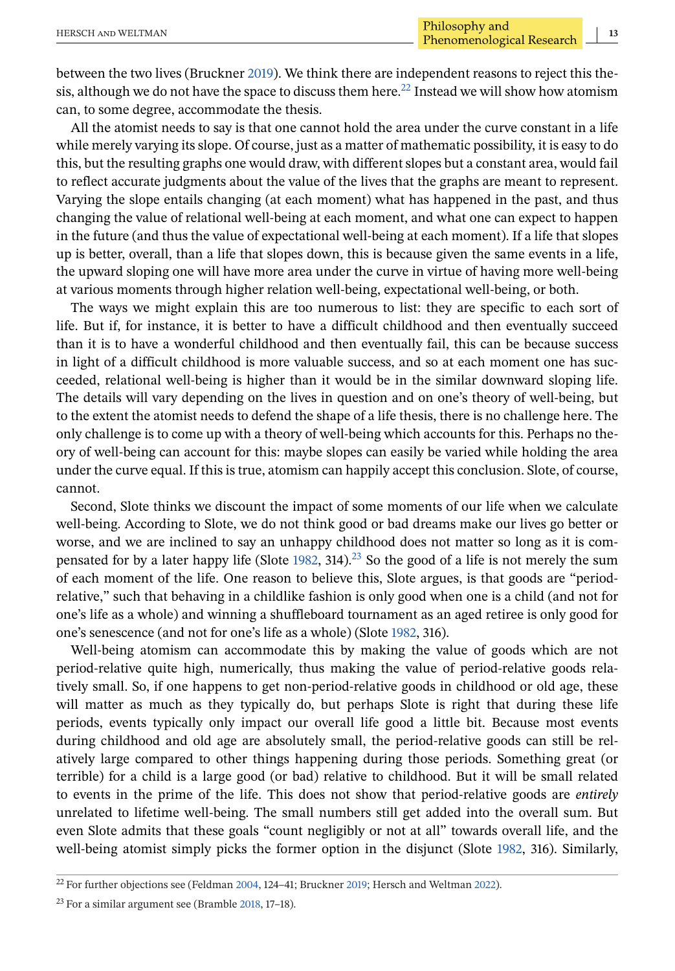between the two lives (Bruckner [2019\)](#page-20-0). We think there are independent reasons to reject this thesis, although we do not have the space to discuss them here.<sup>22</sup> Instead we will show how atomism can, to some degree, accommodate the thesis.

All the atomist needs to say is that one cannot hold the area under the curve constant in a life while merely varying its slope. Of course, just as a matter of mathematic possibility, it is easy to do this, but the resulting graphs one would draw, with different slopes but a constant area, would fail to reflect accurate judgments about the value of the lives that the graphs are meant to represent. Varying the slope entails changing (at each moment) what has happened in the past, and thus changing the value of relational well-being at each moment, and what one can expect to happen in the future (and thus the value of expectational well-being at each moment). If a life that slopes up is better, overall, than a life that slopes down, this is because given the same events in a life, the upward sloping one will have more area under the curve in virtue of having more well-being at various moments through higher relation well-being, expectational well-being, or both.

The ways we might explain this are too numerous to list: they are specific to each sort of life. But if, for instance, it is better to have a difficult childhood and then eventually succeed than it is to have a wonderful childhood and then eventually fail, this can be because success in light of a difficult childhood is more valuable success, and so at each moment one has succeeded, relational well-being is higher than it would be in the similar downward sloping life. The details will vary depending on the lives in question and on one's theory of well-being, but to the extent the atomist needs to defend the shape of a life thesis, there is no challenge here. The only challenge is to come up with a theory of well-being which accounts for this. Perhaps no theory of well-being can account for this: maybe slopes can easily be varied while holding the area under the curve equal. If this is true, atomism can happily accept this conclusion. Slote, of course, cannot.

Second, Slote thinks we discount the impact of some moments of our life when we calculate well-being. According to Slote, we do not think good or bad dreams make our lives go better or worse, and we are inclined to say an unhappy childhood does not matter so long as it is com-pensated for by a later happy life (Slote [1982,](#page-20-0) 314).<sup>23</sup> So the good of a life is not merely the sum of each moment of the life. One reason to believe this, Slote argues, is that goods are "periodrelative," such that behaving in a childlike fashion is only good when one is a child (and not for one's life as a whole) and winning a shuffleboard tournament as an aged retiree is only good for one's senescence (and not for one's life as a whole) (Slote [1982,](#page-20-0) 316).

Well-being atomism can accommodate this by making the value of goods which are not period-relative quite high, numerically, thus making the value of period-relative goods relatively small. So, if one happens to get non-period-relative goods in childhood or old age, these will matter as much as they typically do, but perhaps Slote is right that during these life periods, events typically only impact our overall life good a little bit. Because most events during childhood and old age are absolutely small, the period-relative goods can still be relatively large compared to other things happening during those periods. Something great (or terrible) for a child is a large good (or bad) relative to childhood. But it will be small related to events in the prime of the life. This does not show that period-relative goods are *entirely* unrelated to lifetime well-being. The small numbers still get added into the overall sum. But even Slote admits that these goals "count negligibly or not at all" towards overall life, and the well-being atomist simply picks the former option in the disjunct (Slote [1982,](#page-20-0) 316). Similarly,

<sup>22</sup> For further objections see (Feldman [2004,](#page-20-0) 124–41; Bruckner [2019;](#page-20-0) Hersch and Weltman [2022\)](#page-20-0).

 $23$  For a similar argument see (Bramble [2018,](#page-19-0) 17-18).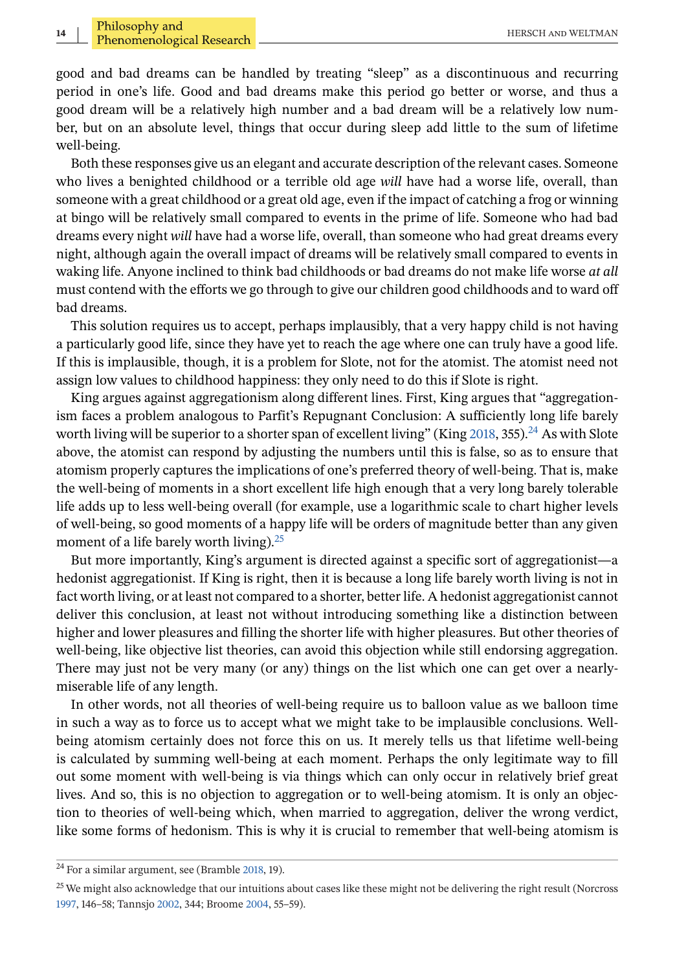good and bad dreams can be handled by treating "sleep" as a discontinuous and recurring period in one's life. Good and bad dreams make this period go better or worse, and thus a good dream will be a relatively high number and a bad dream will be a relatively low number, but on an absolute level, things that occur during sleep add little to the sum of lifetime well-being.

Both these responses give us an elegant and accurate description of the relevant cases. Someone who lives a benighted childhood or a terrible old age *will* have had a worse life, overall, than someone with a great childhood or a great old age, even if the impact of catching a frog or winning at bingo will be relatively small compared to events in the prime of life. Someone who had bad dreams every night *will* have had a worse life, overall, than someone who had great dreams every night, although again the overall impact of dreams will be relatively small compared to events in waking life. Anyone inclined to think bad childhoods or bad dreams do not make life worse *at all* must contend with the efforts we go through to give our children good childhoods and to ward off bad dreams.

This solution requires us to accept, perhaps implausibly, that a very happy child is not having a particularly good life, since they have yet to reach the age where one can truly have a good life. If this is implausible, though, it is a problem for Slote, not for the atomist. The atomist need not assign low values to childhood happiness: they only need to do this if Slote is right.

King argues against aggregationism along different lines. First, King argues that "aggregationism faces a problem analogous to Parfit's Repugnant Conclusion: A sufficiently long life barely worth living will be superior to a shorter span of excellent living" (King [2018,](#page-20-0) 355).<sup>24</sup> As with Slote above, the atomist can respond by adjusting the numbers until this is false, so as to ensure that atomism properly captures the implications of one's preferred theory of well-being. That is, make the well-being of moments in a short excellent life high enough that a very long barely tolerable life adds up to less well-being overall (for example, use a logarithmic scale to chart higher levels of well-being, so good moments of a happy life will be orders of magnitude better than any given moment of a life barely worth living). $^{25}$ 

But more importantly, King's argument is directed against a specific sort of aggregationist—a hedonist aggregationist. If King is right, then it is because a long life barely worth living is not in fact worth living, or at least not compared to a shorter, better life. A hedonist aggregationist cannot deliver this conclusion, at least not without introducing something like a distinction between higher and lower pleasures and filling the shorter life with higher pleasures. But other theories of well-being, like objective list theories, can avoid this objection while still endorsing aggregation. There may just not be very many (or any) things on the list which one can get over a nearlymiserable life of any length.

In other words, not all theories of well-being require us to balloon value as we balloon time in such a way as to force us to accept what we might take to be implausible conclusions. Wellbeing atomism certainly does not force this on us. It merely tells us that lifetime well-being is calculated by summing well-being at each moment. Perhaps the only legitimate way to fill out some moment with well-being is via things which can only occur in relatively brief great lives. And so, this is no objection to aggregation or to well-being atomism. It is only an objection to theories of well-being which, when married to aggregation, deliver the wrong verdict, like some forms of hedonism. This is why it is crucial to remember that well-being atomism is

 $24$  For a similar argument, see (Bramble [2018,](#page-19-0) 19).

<sup>&</sup>lt;sup>25</sup> We might also acknowledge that our intuitions about cases like these might not be delivering the right result (Norcross [1997,](#page-20-0) 146–58; Tannsjo [2002,](#page-20-0) 344; Broome [2004,](#page-19-0) 55–59).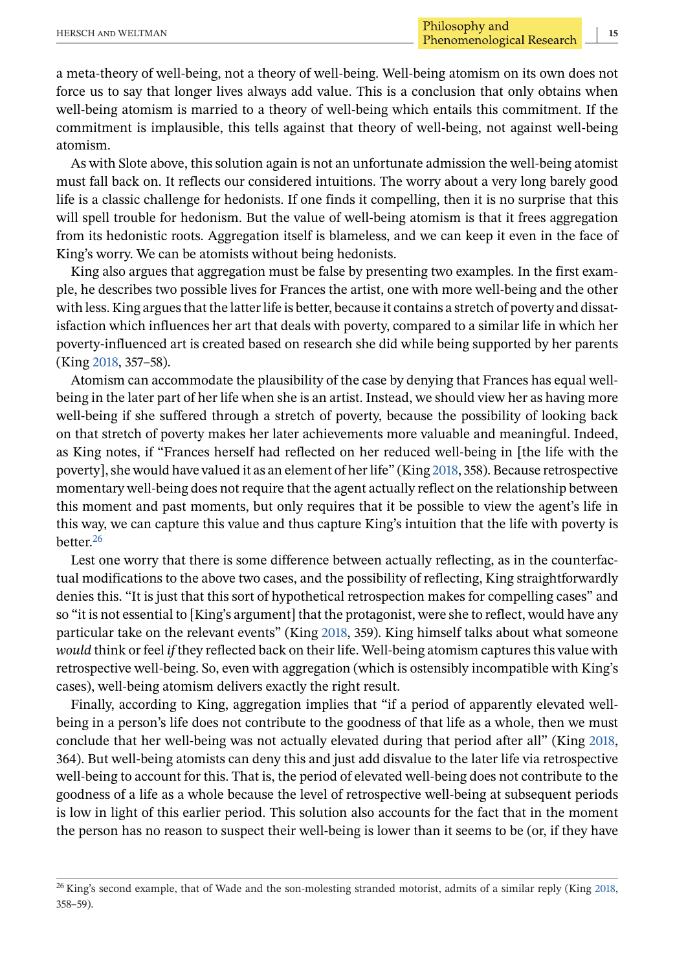a meta-theory of well-being, not a theory of well-being. Well-being atomism on its own does not force us to say that longer lives always add value. This is a conclusion that only obtains when well-being atomism is married to a theory of well-being which entails this commitment. If the commitment is implausible, this tells against that theory of well-being, not against well-being atomism.

As with Slote above, this solution again is not an unfortunate admission the well-being atomist must fall back on. It reflects our considered intuitions. The worry about a very long barely good life is a classic challenge for hedonists. If one finds it compelling, then it is no surprise that this will spell trouble for hedonism. But the value of well-being atomism is that it frees aggregation from its hedonistic roots. Aggregation itself is blameless, and we can keep it even in the face of King's worry. We can be atomists without being hedonists.

King also argues that aggregation must be false by presenting two examples. In the first example, he describes two possible lives for Frances the artist, one with more well-being and the other with less. King argues that the latter life is better, because it contains a stretch of poverty and dissatisfaction which influences her art that deals with poverty, compared to a similar life in which her poverty-influenced art is created based on research she did while being supported by her parents (King [2018,](#page-20-0) 357–58).

Atomism can accommodate the plausibility of the case by denying that Frances has equal wellbeing in the later part of her life when she is an artist. Instead, we should view her as having more well-being if she suffered through a stretch of poverty, because the possibility of looking back on that stretch of poverty makes her later achievements more valuable and meaningful. Indeed, as King notes, if "Frances herself had reflected on her reduced well-being in [the life with the poverty], she would have valued it as an element of her life" (King [2018,](#page-20-0) 358). Because retrospective momentary well-being does not require that the agent actually reflect on the relationship between this moment and past moments, but only requires that it be possible to view the agent's life in this way, we can capture this value and thus capture King's intuition that the life with poverty is better.26

Lest one worry that there is some difference between actually reflecting, as in the counterfactual modifications to the above two cases, and the possibility of reflecting, King straightforwardly denies this. "It is just that this sort of hypothetical retrospection makes for compelling cases" and so "it is not essential to [King's argument] that the protagonist, were she to reflect, would have any particular take on the relevant events" (King [2018,](#page-20-0) 359). King himself talks about what someone *would* think or feel *if* they reflected back on their life. Well-being atomism captures this value with retrospective well-being. So, even with aggregation (which is ostensibly incompatible with King's cases), well-being atomism delivers exactly the right result.

Finally, according to King, aggregation implies that "if a period of apparently elevated wellbeing in a person's life does not contribute to the goodness of that life as a whole, then we must conclude that her well-being was not actually elevated during that period after all" (King [2018,](#page-20-0) 364). But well-being atomists can deny this and just add disvalue to the later life via retrospective well-being to account for this. That is, the period of elevated well-being does not contribute to the goodness of a life as a whole because the level of retrospective well-being at subsequent periods is low in light of this earlier period. This solution also accounts for the fact that in the moment the person has no reason to suspect their well-being is lower than it seems to be (or, if they have

<sup>&</sup>lt;sup>26</sup> King's second example, that of Wade and the son-molesting stranded motorist, admits of a similar reply (King [2018,](#page-20-0) 358–59).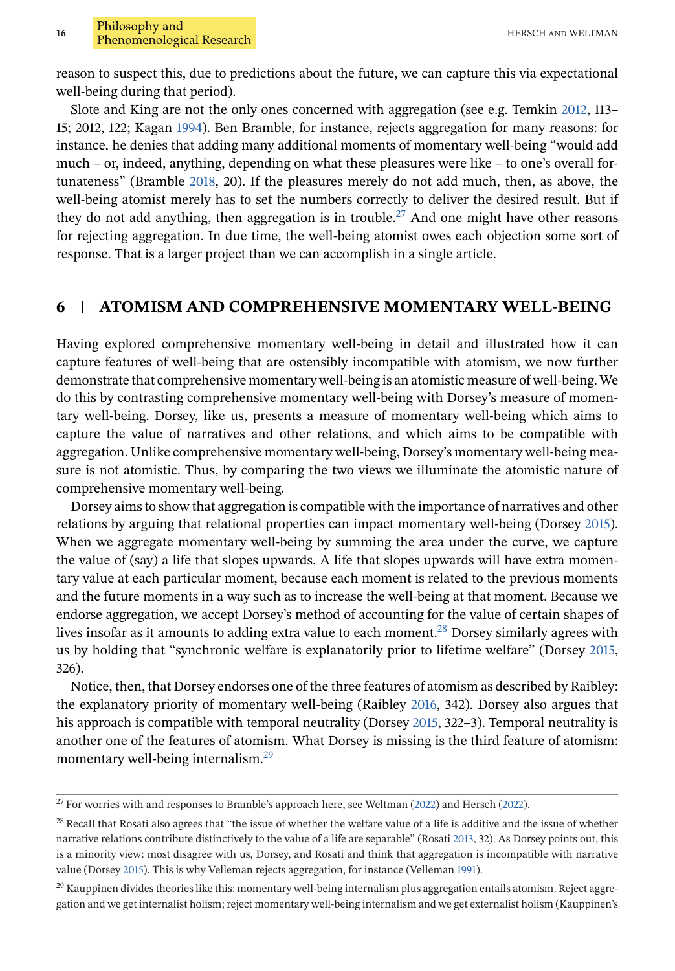reason to suspect this, due to predictions about the future, we can capture this via expectational well-being during that period).

Slote and King are not the only ones concerned with aggregation (see e.g. Temkin [2012,](#page-20-0) 113– 15; 2012, 122; Kagan [1994\)](#page-20-0). Ben Bramble, for instance, rejects aggregation for many reasons: for instance, he denies that adding many additional moments of momentary well-being "would add much – or, indeed, anything, depending on what these pleasures were like – to one's overall fortunateness" (Bramble [2018,](#page-19-0) 20). If the pleasures merely do not add much, then, as above, the well-being atomist merely has to set the numbers correctly to deliver the desired result. But if they do not add anything, then aggregation is in trouble.<sup>27</sup> And one might have other reasons for rejecting aggregation. In due time, the well-being atomist owes each objection some sort of response. That is a larger project than we can accomplish in a single article.

## **6 ATOMISM AND COMPREHENSIVE MOMENTARY WELL-BEING**

Having explored comprehensive momentary well-being in detail and illustrated how it can capture features of well-being that are ostensibly incompatible with atomism, we now further demonstrate that comprehensive momentary well-being is an atomistic measure of well-being. We do this by contrasting comprehensive momentary well-being with Dorsey's measure of momentary well-being. Dorsey, like us, presents a measure of momentary well-being which aims to capture the value of narratives and other relations, and which aims to be compatible with aggregation. Unlike comprehensive momentary well-being, Dorsey's momentary well-being measure is not atomistic. Thus, by comparing the two views we illuminate the atomistic nature of comprehensive momentary well-being.

Dorsey aims to show that aggregation is compatible with the importance of narratives and other relations by arguing that relational properties can impact momentary well-being (Dorsey [2015\)](#page-20-0). When we aggregate momentary well-being by summing the area under the curve, we capture the value of (say) a life that slopes upwards. A life that slopes upwards will have extra momentary value at each particular moment, because each moment is related to the previous moments and the future moments in a way such as to increase the well-being at that moment. Because we endorse aggregation, we accept Dorsey's method of accounting for the value of certain shapes of lives insofar as it amounts to adding extra value to each moment.28 Dorsey similarly agrees with us by holding that "synchronic welfare is explanatorily prior to lifetime welfare" (Dorsey [2015,](#page-20-0) 326).

Notice, then, that Dorsey endorses one of the three features of atomism as described by Raibley: the explanatory priority of momentary well-being (Raibley [2016,](#page-20-0) 342). Dorsey also argues that his approach is compatible with temporal neutrality (Dorsey [2015,](#page-20-0) 322–3). Temporal neutrality is another one of the features of atomism. What Dorsey is missing is the third feature of atomism: momentary well-being internalism.<sup>29</sup>

 $27$  For worries with and responses to Bramble's approach here, see Weltman [\(2022\)](#page-20-0) and Hersch (2022).

<sup>&</sup>lt;sup>28</sup> Recall that Rosati also agrees that "the issue of whether the welfare value of a life is additive and the issue of whether narrative relations contribute distinctively to the value of a life are separable" (Rosati [2013,](#page-20-0) 32). As Dorsey points out, this is a minority view: most disagree with us, Dorsey, and Rosati and think that aggregation is incompatible with narrative value (Dorsey [2015\)](#page-20-0). This is why Velleman rejects aggregation, for instance (Velleman [1991\)](#page-20-0).

 $29$  Kauppinen divides theories like this: momentary well-being internalism plus aggregation entails atomism. Reject aggregation and we get internalist holism; reject momentary well-being internalism and we get externalist holism (Kauppinen's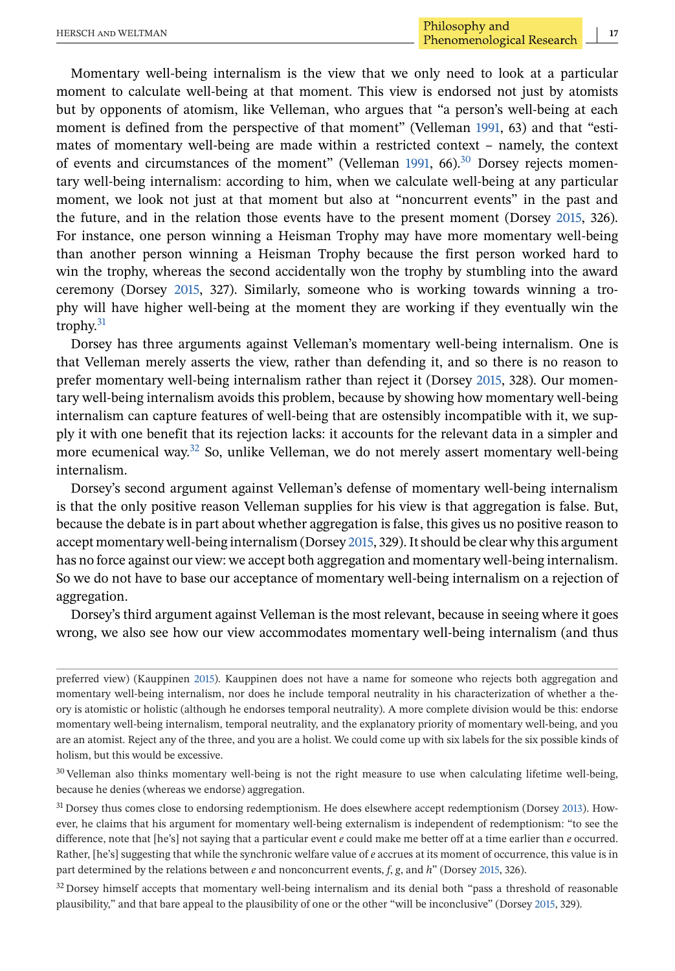Momentary well-being internalism is the view that we only need to look at a particular moment to calculate well-being at that moment. This view is endorsed not just by atomists but by opponents of atomism, like Velleman, who argues that "a person's well-being at each moment is defined from the perspective of that moment" (Velleman [1991,](#page-20-0) 63) and that "estimates of momentary well-being are made within a restricted context – namely, the context of events and circumstances of the moment" (Velleman [1991,](#page-20-0) 66).<sup>30</sup> Dorsey rejects momentary well-being internalism: according to him, when we calculate well-being at any particular moment, we look not just at that moment but also at "noncurrent events" in the past and the future, and in the relation those events have to the present moment (Dorsey [2015,](#page-20-0) 326). For instance, one person winning a Heisman Trophy may have more momentary well-being than another person winning a Heisman Trophy because the first person worked hard to win the trophy, whereas the second accidentally won the trophy by stumbling into the award ceremony (Dorsey [2015,](#page-20-0) 327). Similarly, someone who is working towards winning a trophy will have higher well-being at the moment they are working if they eventually win the trophy. $31$ 

Dorsey has three arguments against Velleman's momentary well-being internalism. One is that Velleman merely asserts the view, rather than defending it, and so there is no reason to prefer momentary well-being internalism rather than reject it (Dorsey [2015,](#page-20-0) 328). Our momentary well-being internalism avoids this problem, because by showing how momentary well-being internalism can capture features of well-being that are ostensibly incompatible with it, we supply it with one benefit that its rejection lacks: it accounts for the relevant data in a simpler and more ecumenical way. $32$  So, unlike Velleman, we do not merely assert momentary well-being internalism.

Dorsey's second argument against Velleman's defense of momentary well-being internalism is that the only positive reason Velleman supplies for his view is that aggregation is false. But, because the debate is in part about whether aggregation is false, this gives us no positive reason to accept momentary well-being internalism (Dorsey [2015,](#page-20-0) 329). It should be clear why this argument has no force against our view: we accept both aggregation and momentary well-being internalism. So we do not have to base our acceptance of momentary well-being internalism on a rejection of aggregation.

Dorsey's third argument against Velleman is the most relevant, because in seeing where it goes wrong, we also see how our view accommodates momentary well-being internalism (and thus

preferred view) (Kauppinen [2015\)](#page-20-0). Kauppinen does not have a name for someone who rejects both aggregation and momentary well-being internalism, nor does he include temporal neutrality in his characterization of whether a theory is atomistic or holistic (although he endorses temporal neutrality). A more complete division would be this: endorse momentary well-being internalism, temporal neutrality, and the explanatory priority of momentary well-being, and you are an atomist. Reject any of the three, and you are a holist. We could come up with six labels for the six possible kinds of holism, but this would be excessive.

<sup>30</sup> Velleman also thinks momentary well-being is not the right measure to use when calculating lifetime well-being, because he denies (whereas we endorse) aggregation.

<sup>31</sup> Dorsey thus comes close to endorsing redemptionism. He does elsewhere accept redemptionism (Dorsey [2013\)](#page-20-0). However, he claims that his argument for momentary well-being externalism is independent of redemptionism: "to see the difference, note that [he's] not saying that a particular event *e* could make me better off at a time earlier than *e* occurred. Rather, [he's] suggesting that while the synchronic welfare value of *e* accrues at its moment of occurrence, this value is in part determined by the relations between *e* and nonconcurrent events, *f*, *g*, and *h*" (Dorsey [2015,](#page-20-0) 326).

<sup>32</sup> Dorsey himself accepts that momentary well-being internalism and its denial both "pass a threshold of reasonable plausibility," and that bare appeal to the plausibility of one or the other "will be inconclusive" (Dorsey [2015,](#page-20-0) 329).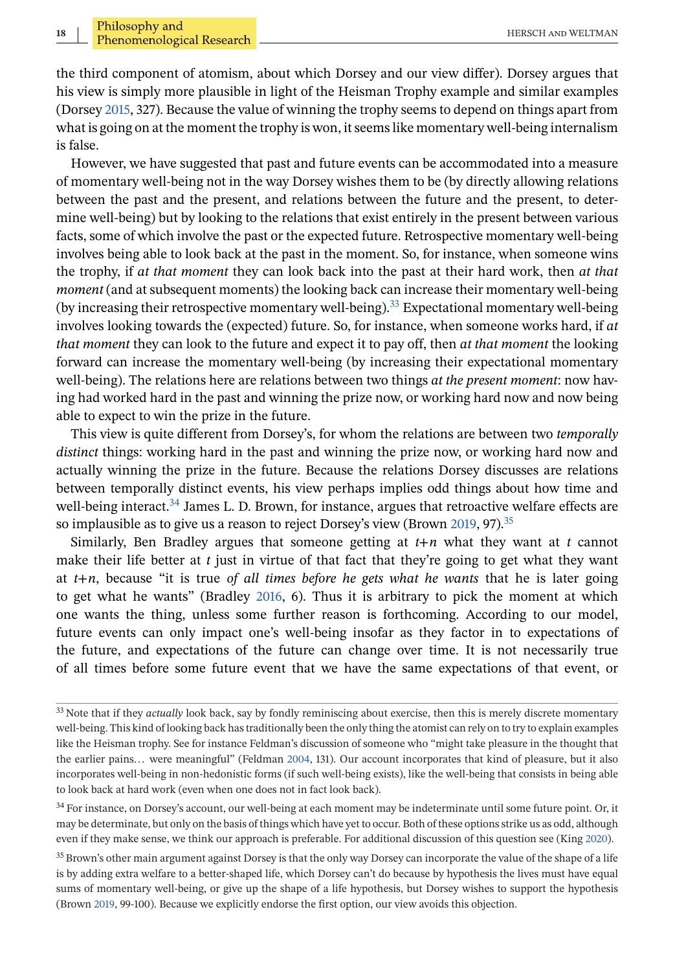the third component of atomism, about which Dorsey and our view differ). Dorsey argues that his view is simply more plausible in light of the Heisman Trophy example and similar examples (Dorsey [2015,](#page-20-0) 327). Because the value of winning the trophy seems to depend on things apart from what is going on at the moment the trophy is won, it seems like momentary well-being internalism is false.

However, we have suggested that past and future events can be accommodated into a measure of momentary well-being not in the way Dorsey wishes them to be (by directly allowing relations between the past and the present, and relations between the future and the present, to determine well-being) but by looking to the relations that exist entirely in the present between various facts, some of which involve the past or the expected future. Retrospective momentary well-being involves being able to look back at the past in the moment. So, for instance, when someone wins the trophy, if *at that moment* they can look back into the past at their hard work, then *at that moment* (and at subsequent moments) the looking back can increase their momentary well-being (by increasing their retrospective momentary well-being).33 Expectational momentary well-being involves looking towards the (expected) future. So, for instance, when someone works hard, if *at that moment* they can look to the future and expect it to pay off, then *at that moment* the looking forward can increase the momentary well-being (by increasing their expectational momentary well-being). The relations here are relations between two things *at the present moment*: now having had worked hard in the past and winning the prize now, or working hard now and now being able to expect to win the prize in the future.

This view is quite different from Dorsey's, for whom the relations are between two *temporally distinct* things: working hard in the past and winning the prize now, or working hard now and actually winning the prize in the future. Because the relations Dorsey discusses are relations between temporally distinct events, his view perhaps implies odd things about how time and well-being interact.<sup>34</sup> James L. D. Brown, for instance, argues that retroactive welfare effects are so implausible as to give us a reason to reject Dorsey's view (Brown [2019,](#page-19-0) 97).<sup>35</sup>

Similarly, Ben Bradley argues that someone getting at *t*+*n* what they want at *t* cannot make their life better at *t* just in virtue of that fact that they're going to get what they want at *t*+*n*, because "it is true *of all times before he gets what he wants* that he is later going to get what he wants" (Bradley [2016,](#page-19-0) 6). Thus it is arbitrary to pick the moment at which one wants the thing, unless some further reason is forthcoming. According to our model, future events can only impact one's well-being insofar as they factor in to expectations of the future, and expectations of the future can change over time. It is not necessarily true of all times before some future event that we have the same expectations of that event, or

<sup>33</sup> Note that if they *actually* look back, say by fondly reminiscing about exercise, then this is merely discrete momentary well-being. This kind of looking back has traditionally been the only thing the atomist can rely on to try to explain examples like the Heisman trophy. See for instance Feldman's discussion of someone who "might take pleasure in the thought that the earlier pains... were meaningful" (Feldman [2004,](#page-20-0) 131). Our account incorporates that kind of pleasure, but it also incorporates well-being in non-hedonistic forms (if such well-being exists), like the well-being that consists in being able to look back at hard work (even when one does not in fact look back).

<sup>&</sup>lt;sup>34</sup> For instance, on Dorsey's account, our well-being at each moment may be indeterminate until some future point. Or, it may be determinate, but only on the basis of things which have yet to occur. Both of these options strike us as odd, although even if they make sense, we think our approach is preferable. For additional discussion of this question see (King [2020\)](#page-20-0).

<sup>&</sup>lt;sup>35</sup> Brown's other main argument against Dorsey is that the only way Dorsey can incorporate the value of the shape of a life is by adding extra welfare to a better-shaped life, which Dorsey can't do because by hypothesis the lives must have equal sums of momentary well-being, or give up the shape of a life hypothesis, but Dorsey wishes to support the hypothesis (Brown [2019,](#page-19-0) 99-100). Because we explicitly endorse the first option, our view avoids this objection.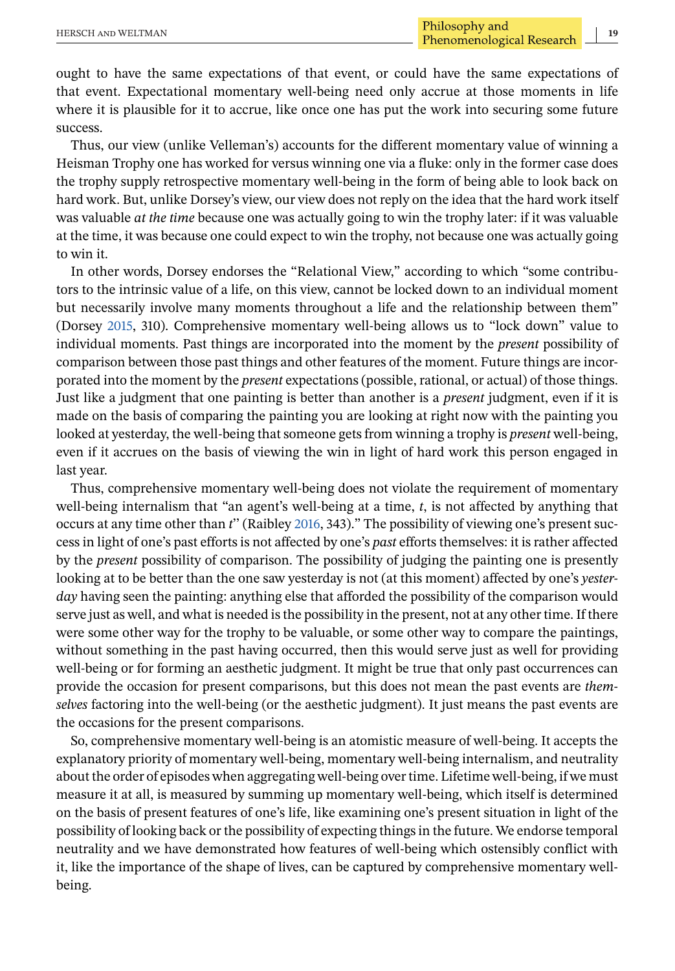ought to have the same expectations of that event, or could have the same expectations of that event. Expectational momentary well-being need only accrue at those moments in life where it is plausible for it to accrue, like once one has put the work into securing some future success.

Thus, our view (unlike Velleman's) accounts for the different momentary value of winning a Heisman Trophy one has worked for versus winning one via a fluke: only in the former case does the trophy supply retrospective momentary well-being in the form of being able to look back on hard work. But, unlike Dorsey's view, our view does not reply on the idea that the hard work itself was valuable *at the time* because one was actually going to win the trophy later: if it was valuable at the time, it was because one could expect to win the trophy, not because one was actually going to win it.

In other words, Dorsey endorses the "Relational View," according to which "some contributors to the intrinsic value of a life, on this view, cannot be locked down to an individual moment but necessarily involve many moments throughout a life and the relationship between them" (Dorsey [2015,](#page-20-0) 310). Comprehensive momentary well-being allows us to "lock down" value to individual moments. Past things are incorporated into the moment by the *present* possibility of comparison between those past things and other features of the moment. Future things are incorporated into the moment by the *present* expectations (possible, rational, or actual) of those things. Just like a judgment that one painting is better than another is a *present* judgment, even if it is made on the basis of comparing the painting you are looking at right now with the painting you looked at yesterday, the well-being that someone gets from winning a trophy is *present* well-being, even if it accrues on the basis of viewing the win in light of hard work this person engaged in last year.

Thus, comprehensive momentary well-being does not violate the requirement of momentary well-being internalism that "an agent's well-being at a time, *t*, is not affected by anything that occurs at any time other than *t*'' (Raibley [2016,](#page-20-0) 343)." The possibility of viewing one's present success in light of one's past efforts is not affected by one's *past* efforts themselves: it is rather affected by the *present* possibility of comparison. The possibility of judging the painting one is presently looking at to be better than the one saw yesterday is not (at this moment) affected by one's *yesterday* having seen the painting: anything else that afforded the possibility of the comparison would serve just as well, and what is needed is the possibility in the present, not at any other time. If there were some other way for the trophy to be valuable, or some other way to compare the paintings, without something in the past having occurred, then this would serve just as well for providing well-being or for forming an aesthetic judgment. It might be true that only past occurrences can provide the occasion for present comparisons, but this does not mean the past events are *themselves* factoring into the well-being (or the aesthetic judgment). It just means the past events are the occasions for the present comparisons.

So, comprehensive momentary well-being is an atomistic measure of well-being. It accepts the explanatory priority of momentary well-being, momentary well-being internalism, and neutrality about the order of episodes when aggregating well-being over time. Lifetime well-being, if we must measure it at all, is measured by summing up momentary well-being, which itself is determined on the basis of present features of one's life, like examining one's present situation in light of the possibility of looking back or the possibility of expecting things in the future. We endorse temporal neutrality and we have demonstrated how features of well-being which ostensibly conflict with it, like the importance of the shape of lives, can be captured by comprehensive momentary wellbeing.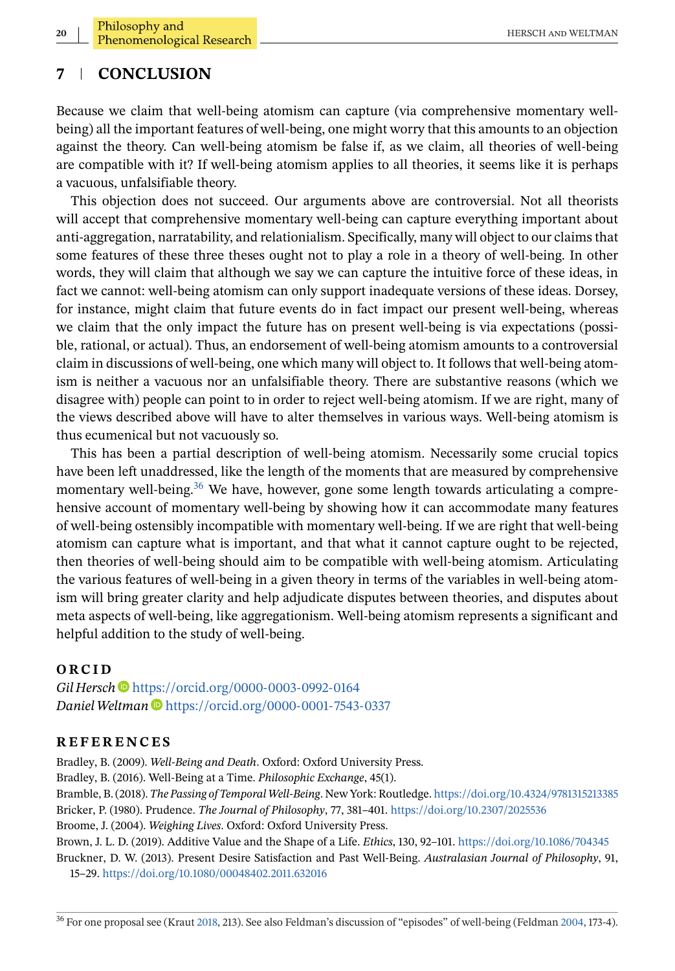# <span id="page-19-0"></span>**7 CONCLUSION**

Because we claim that well-being atomism can capture (via comprehensive momentary wellbeing) all the important features of well-being, one might worry that this amounts to an objection against the theory. Can well-being atomism be false if, as we claim, all theories of well-being are compatible with it? If well-being atomism applies to all theories, it seems like it is perhaps a vacuous, unfalsifiable theory.

This objection does not succeed. Our arguments above are controversial. Not all theorists will accept that comprehensive momentary well-being can capture everything important about anti-aggregation, narratability, and relationialism. Specifically, many will object to our claims that some features of these three theses ought not to play a role in a theory of well-being. In other words, they will claim that although we say we can capture the intuitive force of these ideas, in fact we cannot: well-being atomism can only support inadequate versions of these ideas. Dorsey, for instance, might claim that future events do in fact impact our present well-being, whereas we claim that the only impact the future has on present well-being is via expectations (possible, rational, or actual). Thus, an endorsement of well-being atomism amounts to a controversial claim in discussions of well-being, one which many will object to. It follows that well-being atomism is neither a vacuous nor an unfalsifiable theory. There are substantive reasons (which we disagree with) people can point to in order to reject well-being atomism. If we are right, many of the views described above will have to alter themselves in various ways. Well-being atomism is thus ecumenical but not vacuously so.

This has been a partial description of well-being atomism. Necessarily some crucial topics have been left unaddressed, like the length of the moments that are measured by comprehensive momentary well-being.<sup>36</sup> We have, however, gone some length towards articulating a comprehensive account of momentary well-being by showing how it can accommodate many features of well-being ostensibly incompatible with momentary well-being. If we are right that well-being atomism can capture what is important, and that what it cannot capture ought to be rejected, then theories of well-being should aim to be compatible with well-being atomism. Articulating the various features of well-being in a given theory in terms of the variables in well-being atomism will bring greater clarity and help adjudicate disputes between theories, and disputes about meta aspects of well-being, like aggregationism. Well-being atomism represents a significant and helpful addition to the study of well-being.

#### **ORCID**

*Gil Hersch* <https://orcid.org/0000-0003-0992-0164> *DanielWeltman* <https://orcid.org/0000-0001-7543-0337>

#### **REFERENCES**

Bradley, B. (2009). *Well-Being and Death*. Oxford: Oxford University Press. Bradley, B. (2016). Well-Being at a Time. *Philosophic Exchange*, 45(1). Bramble, B. (2018). *The Passing of Temporal Well-Being*. New York: Routledge. <https://doi.org/10.4324/9781315213385> Bricker, P. (1980). Prudence. *The Journal of Philosophy*, 77, 381–401. <https://doi.org/10.2307/2025536> Broome, J. (2004). *Weighing Lives*. Oxford: Oxford University Press. Brown, J. L. D. (2019). Additive Value and the Shape of a Life. *Ethics*, 130, 92–101. <https://doi.org/10.1086/704345> Bruckner, D. W. (2013). Present Desire Satisfaction and Past Well-Being. *Australasian Journal of Philosophy*, 91, 15–29. <https://doi.org/10.1080/00048402.2011.632016>

<sup>36</sup> For one proposal see (Kraut [2018,](#page-20-0) 213). See also Feldman's discussion of "episodes" of well-being (Feldman [2004,](#page-20-0) 173-4).